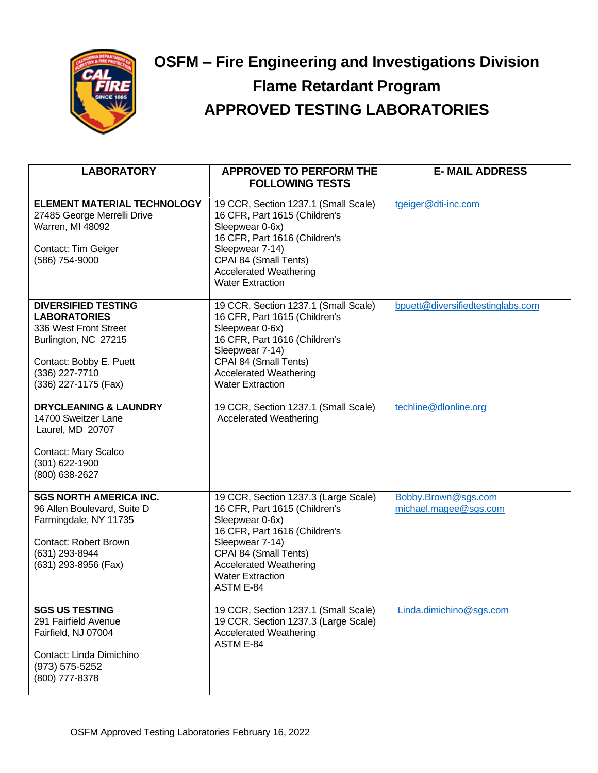

## **OSFM – Fire Engineering and Investigations Division Flame Retardant Program APPROVED TESTING LABORATORIES**

| <b>LABORATORY</b>                                                                                                                                                       | <b>APPROVED TO PERFORM THE</b><br><b>FOLLOWING TESTS</b>                                                                                                                                                                                              | <b>E-MAIL ADDRESS</b>                        |
|-------------------------------------------------------------------------------------------------------------------------------------------------------------------------|-------------------------------------------------------------------------------------------------------------------------------------------------------------------------------------------------------------------------------------------------------|----------------------------------------------|
| <b>ELEMENT MATERIAL TECHNOLOGY</b><br>27485 George Merrelli Drive<br>Warren, MI 48092<br>Contact: Tim Geiger<br>(586) 754-9000                                          | 19 CCR, Section 1237.1 (Small Scale)<br>16 CFR, Part 1615 (Children's<br>Sleepwear 0-6x)<br>16 CFR, Part 1616 (Children's<br>Sleepwear 7-14)<br>CPAI 84 (Small Tents)<br><b>Accelerated Weathering</b><br><b>Water Extraction</b>                     | tgeiger@dti-inc.com                          |
| <b>DIVERSIFIED TESTING</b><br><b>LABORATORIES</b><br>336 West Front Street<br>Burlington, NC 27215<br>Contact: Bobby E. Puett<br>(336) 227-7710<br>(336) 227-1175 (Fax) | 19 CCR, Section 1237.1 (Small Scale)<br>16 CFR, Part 1615 (Children's<br>Sleepwear 0-6x)<br>16 CFR, Part 1616 (Children's<br>Sleepwear 7-14)<br>CPAI 84 (Small Tents)<br><b>Accelerated Weathering</b><br><b>Water Extraction</b>                     | bpuett@diversifiedtestinglabs.com            |
| <b>DRYCLEANING &amp; LAUNDRY</b><br>14700 Sweitzer Lane<br>Laurel, MD 20707<br>Contact: Mary Scalco<br>(301) 622-1900<br>(800) 638-2627                                 | 19 CCR, Section 1237.1 (Small Scale)<br><b>Accelerated Weathering</b>                                                                                                                                                                                 | techline@dlonline.org                        |
| <b>SGS NORTH AMERICA INC.</b><br>96 Allen Boulevard, Suite D<br>Farmingdale, NY 11735<br><b>Contact: Robert Brown</b><br>(631) 293-8944<br>(631) 293-8956 (Fax)         | 19 CCR, Section 1237.3 (Large Scale)<br>16 CFR, Part 1615 (Children's<br>Sleepwear 0-6x)<br>16 CFR, Part 1616 (Children's<br>Sleepwear 7-14)<br>CPAI 84 (Small Tents)<br><b>Accelerated Weathering</b><br><b>Water Extraction</b><br><b>ASTM E-84</b> | Bobby.Brown@sgs.com<br>michael.magee@sgs.com |
| <b>SGS US TESTING</b><br>291 Fairfield Avenue<br>Fairfield, NJ 07004<br>Contact: Linda Dimichino<br>(973) 575-5252<br>(800) 777-8378                                    | 19 CCR, Section 1237.1 (Small Scale)<br>19 CCR, Section 1237.3 (Large Scale)<br><b>Accelerated Weathering</b><br>ASTM E-84                                                                                                                            | Linda.dimichino@sgs.com                      |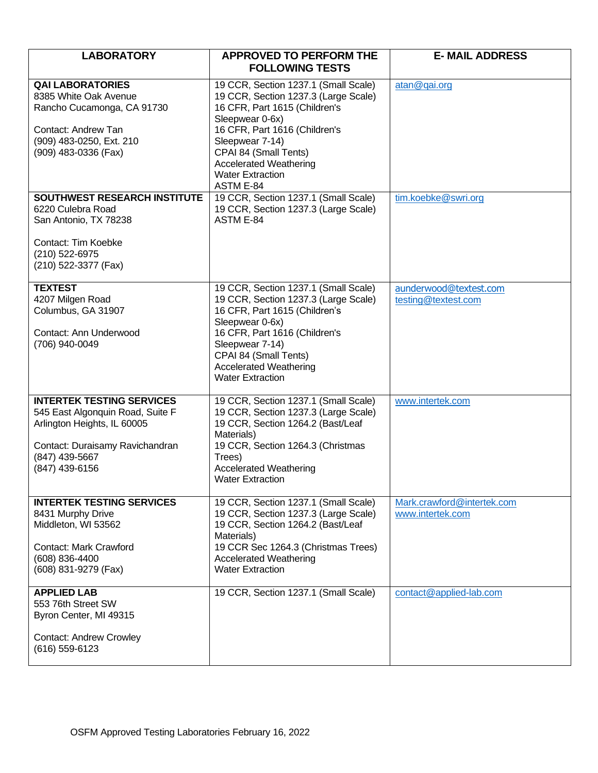| <b>LABORATORY</b>                                                                                                                                                          | <b>APPROVED TO PERFORM THE</b>                                                                                                                                                                                                                                                         | <b>E-MAIL ADDRESS</b>                          |
|----------------------------------------------------------------------------------------------------------------------------------------------------------------------------|----------------------------------------------------------------------------------------------------------------------------------------------------------------------------------------------------------------------------------------------------------------------------------------|------------------------------------------------|
|                                                                                                                                                                            | <b>FOLLOWING TESTS</b>                                                                                                                                                                                                                                                                 |                                                |
| <b>QAI LABORATORIES</b><br>8385 White Oak Avenue<br>Rancho Cucamonga, CA 91730<br>Contact: Andrew Tan<br>(909) 483-0250, Ext. 210<br>(909) 483-0336 (Fax)                  | 19 CCR, Section 1237.1 (Small Scale)<br>19 CCR, Section 1237.3 (Large Scale)<br>16 CFR, Part 1615 (Children's<br>Sleepwear 0-6x)<br>16 CFR, Part 1616 (Children's<br>Sleepwear 7-14)<br>CPAI 84 (Small Tents)<br><b>Accelerated Weathering</b><br><b>Water Extraction</b><br>ASTM E-84 | atan@gai.org                                   |
| <b>SOUTHWEST RESEARCH INSTITUTE</b><br>6220 Culebra Road<br>San Antonio, TX 78238<br>Contact: Tim Koebke<br>(210) 522-6975<br>(210) 522-3377 (Fax)                         | 19 CCR, Section 1237.1 (Small Scale)<br>19 CCR, Section 1237.3 (Large Scale)<br>ASTM E-84                                                                                                                                                                                              | tim.koebke@swri.org                            |
| <b>TEXTEST</b><br>4207 Milgen Road<br>Columbus, GA 31907<br>Contact: Ann Underwood<br>(706) 940-0049                                                                       | 19 CCR, Section 1237.1 (Small Scale)<br>19 CCR, Section 1237.3 (Large Scale)<br>16 CFR, Part 1615 (Children's<br>Sleepwear 0-6x)<br>16 CFR, Part 1616 (Children's<br>Sleepwear 7-14)<br>CPAI 84 (Small Tents)<br><b>Accelerated Weathering</b><br><b>Water Extraction</b>              | aunderwood@textest.com<br>testing@textest.com  |
| <b>INTERTEK TESTING SERVICES</b><br>545 East Algonquin Road, Suite F<br>Arlington Heights, IL 60005<br>Contact: Duraisamy Ravichandran<br>(847) 439-5667<br>(847) 439-6156 | 19 CCR, Section 1237.1 (Small Scale)<br>19 CCR, Section 1237.3 (Large Scale)<br>19 CCR, Section 1264.2 (Bast/Leaf<br>Materials)<br>19 CCR, Section 1264.3 (Christmas<br>Trees)<br><b>Accelerated Weathering</b><br><b>Water Extraction</b>                                             | www.intertek.com                               |
| <b>INTERTEK TESTING SERVICES</b><br>8431 Murphy Drive<br>Middleton, WI 53562<br>Contact: Mark Crawford<br>(608) 836-4400<br>(608) 831-9279 (Fax)                           | 19 CCR, Section 1237.1 (Small Scale)<br>19 CCR, Section 1237.3 (Large Scale)<br>19 CCR, Section 1264.2 (Bast/Leaf<br>Materials)<br>19 CCR Sec 1264.3 (Christmas Trees)<br><b>Accelerated Weathering</b><br><b>Water Extraction</b>                                                     | Mark.crawford@intertek.com<br>www.intertek.com |
| <b>APPLIED LAB</b><br>553 76th Street SW<br>Byron Center, MI 49315<br><b>Contact: Andrew Crowley</b><br>(616) 559-6123                                                     | 19 CCR, Section 1237.1 (Small Scale)                                                                                                                                                                                                                                                   | contact@applied-lab.com                        |